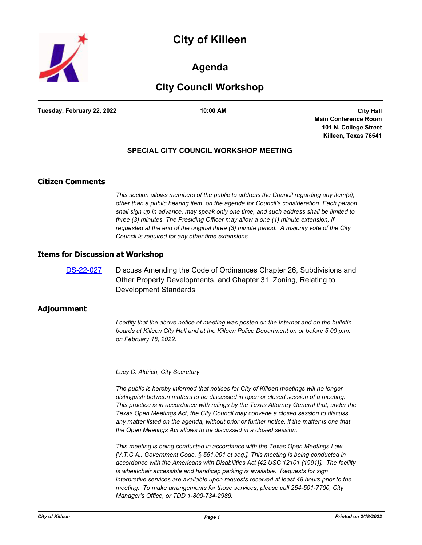



# **Agenda**

# **City Council Workshop**

**Tuesday, February 22, 2022 10:00 AM**

**City Hall Main Conference Room 101 N. College Street Killeen, Texas 76541**

### **SPECIAL CITY COUNCIL WORKSHOP MEETING**

## **Citizen Comments**

*This section allows members of the public to address the Council regarding any item(s), other than a public hearing item, on the agenda for Council's consideration. Each person shall sign up in advance, may speak only one time, and such address shall be limited to three (3) minutes. The Presiding Officer may allow a one (1) minute extension, if requested at the end of the original three (3) minute period. A majority vote of the City Council is required for any other time extensions.*

#### **Items for Discussion at Workshop**

[DS-22-027](http://killeen.legistar.com/gateway.aspx?m=l&id=/matter.aspx?key=5998) Discuss Amending the Code of Ordinances Chapter 26, Subdivisions and Other Property Developments, and Chapter 31, Zoning, Relating to Development Standards

#### **Adjournment**

*I* certify that the above notice of meeting was posted on the Internet and on the bulletin *boards at Killeen City Hall and at the Killeen Police Department on or before 5:00 p.m. on February 18, 2022.*

*Lucy C. Aldrich, City Secretary* 

*\_\_\_\_\_\_\_\_\_\_\_\_\_\_\_\_\_\_\_\_\_\_\_\_\_\_\_\_\_\_\_*

*The public is hereby informed that notices for City of Killeen meetings will no longer distinguish between matters to be discussed in open or closed session of a meeting. This practice is in accordance with rulings by the Texas Attorney General that, under the Texas Open Meetings Act, the City Council may convene a closed session to discuss*  any matter listed on the agenda, without prior or further notice, if the matter is one that *the Open Meetings Act allows to be discussed in a closed session.*

*This meeting is being conducted in accordance with the Texas Open Meetings Law [V.T.C.A., Government Code, § 551.001 et seq.]. This meeting is being conducted in accordance with the Americans with Disabilities Act [42 USC 12101 (1991)]. The facility is wheelchair accessible and handicap parking is available. Requests for sign interpretive services are available upon requests received at least 48 hours prior to the meeting. To make arrangements for those services, please call 254-501-7700, City Manager's Office, or TDD 1-800-734-2989.*